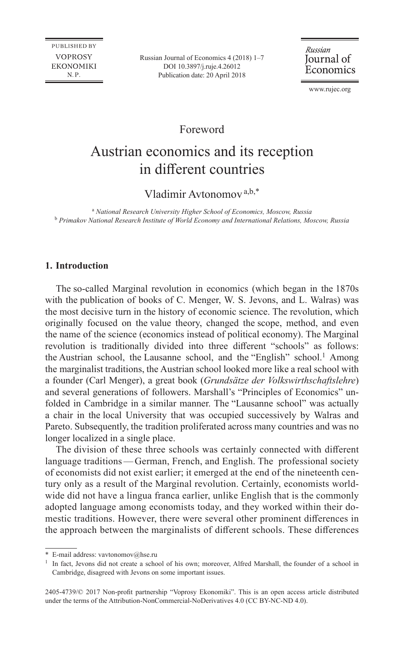PUBLISHED BY **VOPROSY EKONOMIKI**  $N.P.$ 

Russian Journal of Economics 4 (2018) 1–7 [DOI 10.3897/j.ruje.4.26012](https://doi.org/10.3897/j.ruje.4.26012) Publication date: 20 April 2018

Russian Journal of Economics

[www.rujec.org](http://www.rujec.org)

Foreword

# Austrian economics and its reception in different countries

Vladimir Avtonomov<sup>a,b,\*</sup>

a  *National Research University Higher School of Economics, Moscow, Russia* <sup>b</sup> *Primakov National Research Institute of World Economy and International Relations, Moscow, Russia*

# **1. Introduction**

The so-called Marginal revolution in economics (which began in the 1870s with the publication of books of C. Menger, W. S. Jevons, and L. Walras) was the most decisive turn in the history of economic science. The revolution, which originally focused on the value theory, changed the scope, method, and even the name of the science (economics instead of political economy). The Marginal revolution is traditionally divided into three different "schools" as follows: the Austrian school, the Lausanne school, and the "English" school.<sup>1</sup> Among the marginalist traditions, the Austrian school looked more like a real school with a founder (Carl Menger), a great book (*Grundsätze der Volkswirthschaftslehre*) and several generations of followers. Marshall's "Principles of Economics" unfolded in Cambridge in a similar manner. The "Lausanne school" was actually a chair in the local University that was occupied successively by Walras and Pareto. Subsequently, the tradition proliferated across many countries and was no longer localized in a single place.

The division of these three schools was certainly connected with different language traditions—German, French, and English. The professional society of economists did not exist earlier; it emerged at the end of the nineteenth century only as a result of the Marginal revolution. Certainly, economists worldwide did not have a lingua franca earlier, unlike English that is the commonly adopted language among economists today, and they worked within their domestic traditions. However, there were several other prominent differences in the approach between the marginalists of different schools. These differences

<sup>\*</sup> E-mail address: [vavtonomov@hse.ru](mailto:vavtonomov@hse.ru)

<sup>&</sup>lt;sup>1</sup> In fact, Jevons did not create a school of his own; moreover, Alfred Marshall, the founder of a school in Cambridge, disagreed with Jevons on some important issues.

<sup>2405-4739/©</sup> 2017 Non-profit partnership "Voprosy Ekonomiki". This is an open access article distributed under the terms of the Attribution-NonCommercial-NoDerivatives 4.0 (CC BY-NC-ND 4.0).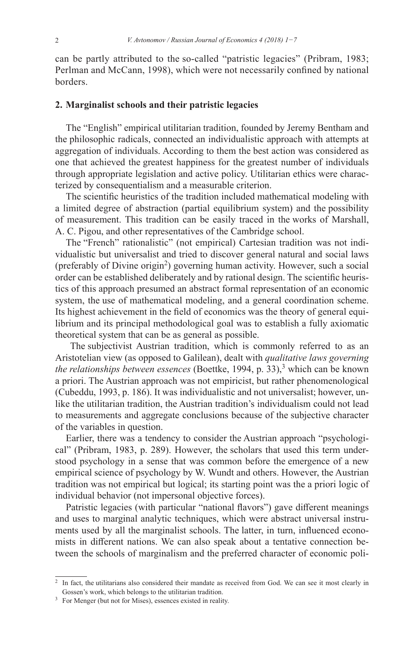can be partly attributed to the so-called "patristic legacies" (Pribram, 1983; Perlman and McCann, 1998), which were not necessarily confined by national borders.

## **2. Marginalist schools and their patristic legacies**

The "English" empirical utilitarian tradition, founded by Jeremy Bentham and the philosophic radicals, connected an individualistic approach with attempts at aggregation of individuals. According to them the best action was considered as one that achieved the greatest happiness for the greatest number of individuals through appropriate legislation and active policy. Utilitarian ethics were characterized by consequentialism and a measurable criterion.

The scientific heuristics of the tradition included mathematical modeling with a limited degree of abstraction (partial equilibrium system) and the possibility of measurement. This tradition can be easily traced in the works of Marshall, A. C. Pigou, and other representatives of the Cambridge school.

The "French" rationalistic" (not empirical) Cartesian tradition was not individualistic but universalist and tried to discover general natural and social laws (preferably of Divine origin<sup>2</sup>) governing human activity. However, such a social order can be established deliberately and by rational design. The scientific heuristics of this approach presumed an abstract formal representation of an economic system, the use of mathematical modeling, and a general coordination scheme. Its highest achievement in the field of economics was the theory of general equilibrium and its principal methodological goal was to establish a fully axiomatic theoretical system that can be as general as possible.

 The subjectivist Austrian tradition, which is commonly referred to as an Aristotelian view (as opposed to Galilean), dealt with *qualitative laws governing the relationships between essences* (Boettke, 1994, p. 33),<sup>3</sup> which can be known a priori. The Austrian approach was not empiricist, but rather phenomenological (Cubeddu, 1993, p. 186). It was individualistic and not universalist; however, unlike the utilitarian tradition, the Austrian tradition's individualism could not lead to measurements and aggregate conclusions because of the subjective character of the variables in question.

Earlier, there was a tendency to consider the Austrian approach "psychological" (Pribram, 1983, p. 289). However, the scholars that used this term understood psychology in a sense that was common before the emergence of a new empirical science of psychology by W. Wundt and others. However, the Austrian tradition was not empirical but logical; its starting point was the a priori logic of individual behavior (not impersonal objective forces).

Patristic legacies (with particular "national flavors") gave different meanings and uses to marginal analytic techniques, which were abstract universal instruments used by all the marginalist schools. The latter, in turn, influenced economists in different nations. We can also speak about a tentative connection between the schools of marginalism and the preferred character of economic poli-

<sup>&</sup>lt;sup>2</sup> In fact, the utilitarians also considered their mandate as received from God. We can see it most clearly in Gossen's work, which belongs to the utilitarian tradition.

<sup>&</sup>lt;sup>3</sup> For Menger (but not for Mises), essences existed in reality.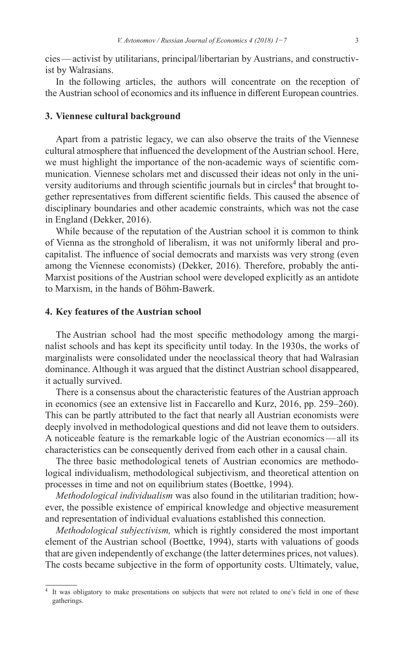cies—activist by utilitarians, principal/libertarian by Austrians, and constructivist by Walrasians.

In the following articles, the authors will concentrate on the reception of the Austrian school of economics and its influence in different European countries.

### **3. Viennese cultural background**

Apart from a patristic legacy, we can also observe the traits of the Viennese cultural atmosphere that influenced the development of the Austrian school. Here, we must highlight the importance of the non-academic ways of scientific communication. Viennese scholars met and discussed their ideas not only in the university auditoriums and through scientific journals but in circles<sup>4</sup> that brought together representatives from different scientific fields. This caused the absence of disciplinary boundaries and other academic constraints, which was not the case in England (Dekker, 2016).

While because of the reputation of the Austrian school it is common to think of Vienna as the stronghold of liberalism, it was not uniformly liberal and procapitalist. The influence of social democrats and marxists was very strong (even among the Viennese economists) (Dekker, 2016). Therefore, probably the anti-Marxist positions of the Austrian school were developed explicitly as an antidote to Marxism, in the hands of Böhm-Bawerk.

#### **4. Key features of the Austrian school**

The Austrian school had the most specific methodology among the marginalist schools and has kept its specificity until today. In the 1930s, the works of marginalists were consolidated under the neoclassical theory that had Walrasian dominance. Although it was argued that the distinct Austrian school disappeared, it actually survived.

There is a consensus about the characteristic features of the Austrian approach in economics (see an extensive list in Faccarello and Kurz, 2016, pp. 259–260). This can be partly attributed to the fact that nearly all Austrian economists were deeply involved in methodological questions and did not leave them to outsiders. A noticeable feature is the remarkable logic of the Austrian economics—all its characteristics can be consequently derived from each other in a causal chain.

The three basic methodological tenets of Austrian economics are methodological individualism, methodological subjectivism, and theoretical attention on processes in time and not on equilibrium states (Boettke, 1994).

*Methodological individualism* was also found in the utilitarian tradition; however, the possible existence of empirical knowledge and objective measurement and representation of individual evaluations established this connection.

*Methodological subjectivism,* which is rightly considered the most important element of the Austrian school (Boettke, 1994), starts with valuations of goods that are given independently of exchange (the latter determines prices, not values). The costs became subjective in the form of opportunity costs. Ultimately, value,

<sup>&</sup>lt;sup>4</sup> It was obligatory to make presentations on subjects that were not related to one's field in one of these gatherings.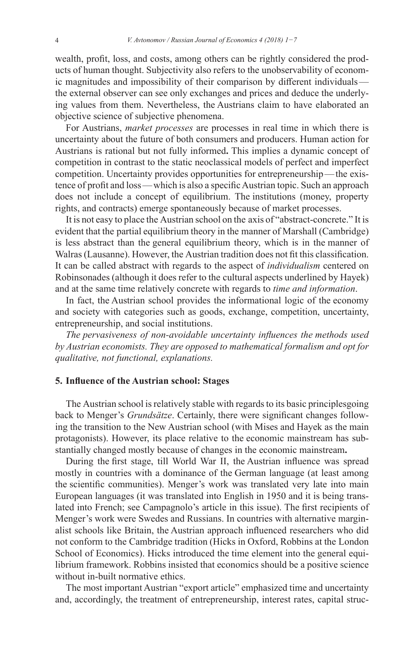wealth, profit, loss, and costs, among others can be rightly considered the products of human thought. Subjectivity also refers to the unobservability of economic magnitudes and impossibility of their comparison by different individuals the external observer can see only exchanges and prices and deduce the underlying values from them. Nevertheless, the Austrians claim to have elaborated an objective science of subjective phenomena.

For Austrians, *market processes* are processes in real time in which there is uncertainty about the future of both consumers and producers. Human action for Austrians is rational but not fully informed**.** This implies a dynamic concept of competition in contrast to the static neoclassical models of perfect and imperfect competition. Uncertainty provides opportunities for entrepreneurship—the existence of profit and loss—which is also a specific Austrian topic. Such an approach does not include a concept of equilibrium. The institutions (money, property rights, and contracts) emerge spontaneously because of market processes.

It is not easy to place the Austrian school on the axis of "abstract-concrete." It is evident that the partial equilibrium theory in the manner of Marshall (Cambridge) is less abstract than the general equilibrium theory, which is in the manner of Walras(Lausanne). However, the Austrian tradition does not fit this classification. It can be called abstract with regards to the aspect of *individualism* centered on Robinsonades (although it does refer to the cultural aspects underlined by Hayek) and at the same time relatively concrete with regards to *time and information*.

In fact, the Austrian school provides the informational logic of the economy and society with categories such as goods, exchange, competition, uncertainty, entrepreneurship, and social institutions.

*The pervasiveness of non-avoidable uncertainty influences the methods used by Austrian economists. They are opposed to mathematical formalism and opt for qualitative, not functional, explanations.* 

#### **5. Influence of the Austrian school: Stages**

The Austrian school is relatively stable with regards to its basic principlesgoing back to Menger's *Grundsätze*. Certainly, there were significant changes following the transition to the New Austrian school (with Mises and Hayek as the main protagonists). However, its place relative to the economic mainstream has substantially changed mostly because of changes in the economic mainstream**.**

During the first stage, till World War II, the Austrian influence was spread mostly in countries with a dominance of the German language (at least among the scientific communities). Menger's work was translated very late into main European languages (it was translated into English in 1950 and it is being translated into French; see Campagnolo's article in this issue). The first recipients of Menger's work were Swedes and Russians. In countries with alternative marginalist schools like Britain, the Austrian approach influenced researchers who did not conform to the Cambridge tradition (Hicks in Oxford, Robbins at the London School of Economics). Hicks introduced the time element into the general equilibrium framework. Robbins insisted that economics should be a positive science without in-built normative ethics.

The most important Austrian "export article" emphasized time and uncertainty and, accordingly, the treatment of entrepreneurship, interest rates, capital struc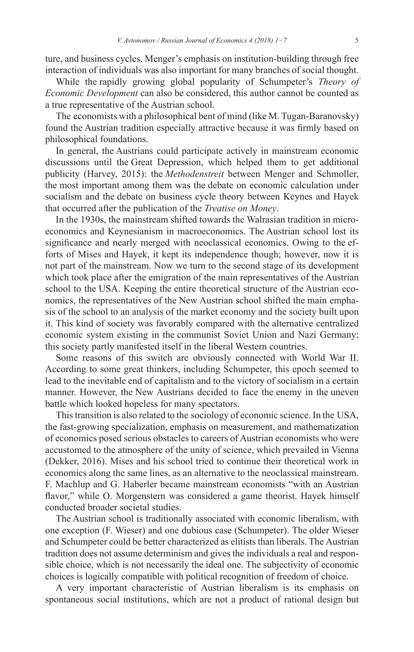ture, and business cycles. Menger's emphasis on institution-building through free interaction of individuals was also important for many branches of social thought.

While the rapidly growing global popularity of Schumpeter's *Theory of Economic Development* can also be considered, this author cannot be counted as a true representative of the Austrian school.

The economists with a philosophical bent of mind (like M. Tugan-Baranovsky) found the Austrian tradition especially attractive because it was firmly based on philosophical foundations.

In general, the Austrians could participate actively in mainstream economic discussions until the Great Depression, which helped them to get additional publicity (Harvey, 2015): the *Methodenstreit* between Menger and Schmoller, the most important among them was the debate on economic calculation under socialism and the debate on business cycle theory between Keynes and Hayek that occurred after the publication of the *Treatise on Money*.

In the 1930s, the mainstream shifted towards the Walrasian tradition in microeconomics and Keynesianism in macroeconomics. The Austrian school lost its significance and nearly merged with neoclassical economics. Owing to the efforts of Mises and Hayek, it kept its independence though; however, now it is not part of the mainstream. Now we turn to the second stage of its development which took place after the emigration of the main representatives of the Austrian school to the USA. Keeping the entire theoretical structure of the Austrian economics, the representatives of the New Austrian school shifted the main emphasis of the school to an analysis of the market economy and the society built upon it. This kind of society was favorably compared with the alternative centralized economic system existing in the communist Soviet Union and Nazi Germany; this society partly manifested itself in the liberal Western countries.

Some reasons of this switch are obviously connected with World War II. According to some great thinkers, including Schumpeter, this epoch seemed to lead to the inevitable end of capitalism and to the victory of socialism in a certain manner. However, the New Austrians decided to face the enemy in the uneven battle which looked hopeless for many spectators.

This transition is also related to the sociology of economic science. In the USA, the fast-growing specialization, emphasis on measurement, and mathematization of economics posed serious obstacles to careers of Austrian economists who were accustomed to the atmosphere of the unity of science, which prevailed in Vienna (Dekker, 2016). Mises and his school tried to continue their theoretical work in economics along the same lines, as an alternative to the neoclassical mainstream. F. Machlup and G. Haberler became mainstream economists "with an Austrian flavor," while O. Morgenstern was considered a game theorist. Hayek himself conducted broader societal studies.

The Austrian school is traditionally associated with economic liberalism, with one exception (F. Wieser) and one dubious case (Schumpeter). The older Wieser and Schumpeter could be better characterized as elitists than liberals. The Austrian tradition does not assume determinism and gives the individuals a real and responsible choice, which is not necessarily the ideal one. The subjectivity of economic choices is logically compatible with political recognition of freedom of choice.

A very important characteristic of Austrian liberalism is its emphasis on spontaneous social institutions, which are not a product of rational design but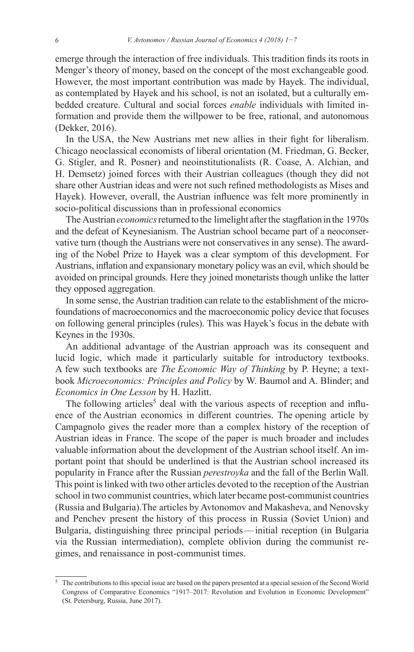emerge through the interaction of free individuals. This tradition finds its roots in Menger's theory of money, based on the concept of the most exchangeable good. However, the most important contribution was made by Hayek. The individual, as contemplated by Hayek and his school, is not an isolated, but a culturally embedded creature. Cultural and social forces *enable* individuals with limited information and provide them the willpower to be free, rational, and autonomous (Dekker, 2016).

In the USA, the New Austrians met new allies in their fight for liberalism. Chicago neoclassical economists of liberal orientation (M. Friedman, G. Becker, G. Stigler, and R. Posner) and neoinstitutionalists (R. Coase, A. Alchian, and H. Demsetz) joined forces with their Austrian colleagues (though they did not share other Austrian ideas and were not such refined methodologists as Mises and Hayek). However, overall, the Austrian influence was felt more prominently in socio-political discussions than in professional economics

The Austrian *economics* returned to the limelight afterthe stagflation in the 1970s and the defeat of Keynesianism. The Austrian school became part of a neoconservative turn (though the Austrians were not conservatives in any sense). The awarding of the Nobel Prize to Hayek was a clear symptom of this development. For Austrians, inflation and expansionary monetary policy was an evil, which should be avoided on principal grounds. Here they joined monetarists though unlike the latter they opposed aggregation.

In some sense, the Austrian tradition can relate to the establishment of the microfoundations of macroeconomics and the macroeconomic policy device that focuses on following general principles (rules). This was Hayek's focus in the debate with Keynes in the 1930s.

An additional advantage of the Austrian approach was its consequent and lucid logic, which made it particularly suitable for introductory textbooks. A few such textbooks are *The Economic Way of Thinking* by P. Heyne; a textbook *Microeconomics: Principles and Policy* by W. Baumol and A. Blinder; and *Economics in One Lesson* by H. Hazlitt.

The following articles<sup>5</sup> deal with the various aspects of reception and influence of the Austrian economics in different countries. The opening article by Campagnolo gives the reader more than a complex history of the reception of Austrian ideas in France. The scope of the paper is much broader and includes valuable information about the development of the Austrian school itself. An important point that should be underlined is that the Austrian school increased its popularity in France after the Russian *perestroyka* and the fall of the Berlin Wall. This point is linked with two other articles devoted to the reception of the Austrian school in two communist countries, which later became post-communist countries (Russia and Bulgaria).The articles by Avtonomov and Makasheva, and Nenovsky and Penchev present the history of this process in Russia (Soviet Union) and Bulgaria, distinguishing three principal periods— initial reception (in Bulgaria via the Russian intermediation), complete oblivion during the communist regimes, and renaissance in post-communist times.

<sup>5</sup> The contributions to this special issue are based on the papers presented at a special session of the Second World Congress of Comparative Economics "1917–2017: Revolution and Evolution in Economic Development" (St. Petersburg, Russia, June 2017).